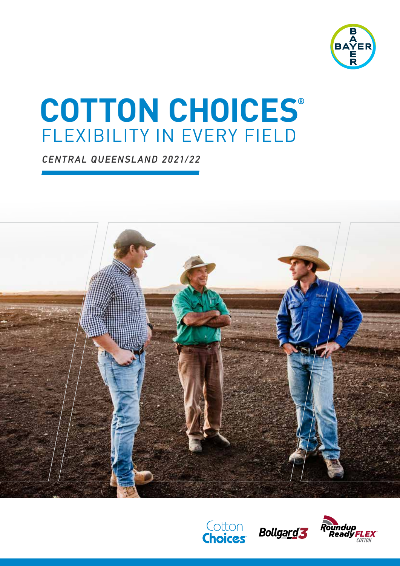

# FLEXIBILITY IN EVERY FIELD **COTTON CHOICES®**

*CENTRAL QUEENSLAND 2021/22*







COTTON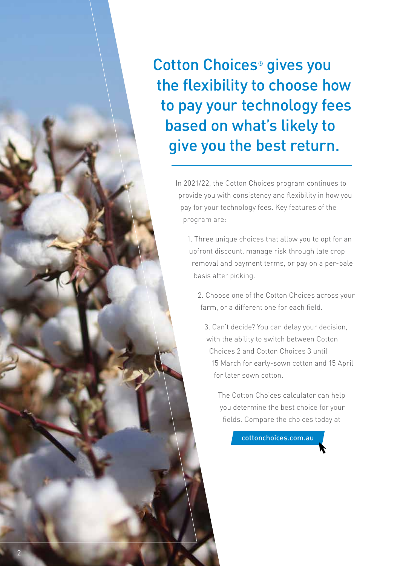Cotton Choices® gives you the flexibility to choose how to pay your technology fees based on what's likely to give you the best return.

> In 2021/22, the Cotton Choices program continues to provide you with consistency and flexibility in how you pay for your technology fees. Key features of the program are:

1. Three unique choices that allow you to opt for an upfront discount, manage risk through late crop removal and payment terms, or pay on a per-bale basis after picking.

2. Choose one of the Cotton Choices across your farm, or a different one for each field.

3. Can't decide? You can delay your decision, with the ability to switch between Cotton Choices 2 and Cotton Choices 3 until 15 March for early-sown cotton and 15 April for later sown cotton.

The Cotton Choices calculator can help you determine the best choice for your fields. Compare the choices today at

cottonchoices.com.au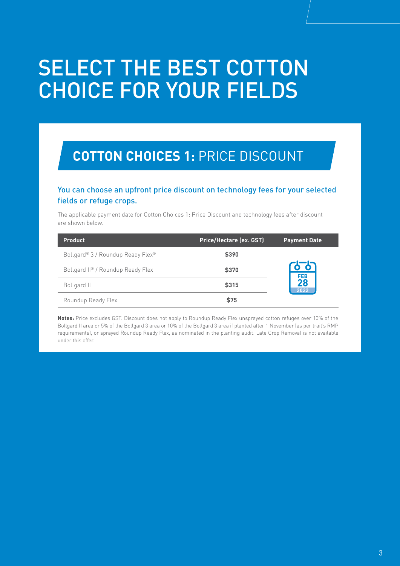# SELECT THE BEST COTTON CHOICE FOR YOUR FIELDS

### **COTTON CHOICES 1:** PRICE DISCOUNT

#### You can choose an upfront price discount on technology fees for your selected fields or refuge crops.

The applicable payment date for Cotton Choices 1: Price Discount and technology fees after discount are shown below.

| Product                           | <b>Price/Hectare (ex. GST)</b> | <b>Payment Date</b> |
|-----------------------------------|--------------------------------|---------------------|
| Bollgard® 3 / Roundup Ready Flex® | \$390                          |                     |
| Bollgard II® / Roundup Ready Flex | \$370                          | $\bullet$ $\bullet$ |
| Bollgard II                       | \$315                          | FEB<br>28<br>2022   |
| Roundup Ready Flex                | \$75                           |                     |

**Notes:** Price excludes GST. Discount does not apply to Roundup Ready Flex unsprayed cotton refuges over 10% of the Bollgard II area or 5% of the Bollgard 3 area or 10% of the Bollgard 3 area if planted after 1 November (as per trait's RMP requirements), or sprayed Roundup Ready Flex, as nominated in the planting audit. Late Crop Removal is not available under this offer.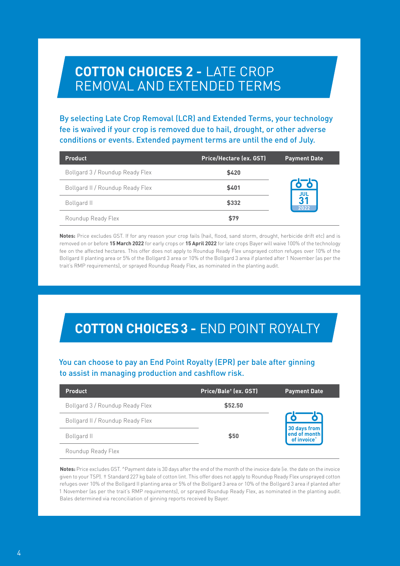### **COTTON CHOICES 2 -** LATE CROP REMOVAL AND EXTENDED TERMS

By selecting Late Crop Removal (LCR) and Extended Terms, your technology fee is waived if your crop is removed due to hail, drought, or other adverse conditions or events. Extended payment terms are until the end of July.

| <b>Product</b>                   | <b>Price/Hectare (ex. GST)</b> | <b>Payment Date</b>    |
|----------------------------------|--------------------------------|------------------------|
| Bollgard 3 / Roundup Ready Flex  | \$420                          |                        |
| Bollgard II / Roundup Ready Flex | \$401                          | <u>。。</u>              |
| Bollgard II                      | \$332                          | $rac{101}{31}$<br>2022 |
| Roundup Ready Flex               | \$79                           |                        |

**Notes:** Price excludes GST. If for any reason your crop fails (hail, flood, sand storm, drought, herbicide drift etc) and is removed on or before **15 March 2022** for early crops or **15 April 2022** for late crops Bayer will waive 100% of the technology fee on the affected hectares. This offer does not apply to Roundup Ready Flex unsprayed cotton refuges over 10% of the Bollgard II planting area or 5% of the Bollgard 3 area or 10% of the Bollgard 3 area if planted after 1 November (as per the trait's RMP requirements), or sprayed Roundup Ready Flex, as nominated in the planting audit.

## **COTTON CHOICES 3 -** END POINT ROYALTY

#### You can choose to pay an End Point Royalty (EPR) per bale after ginning to assist in managing production and cashflow risk.

| <b>Product</b>                   | Price/Bale <sup>+</sup> (ex. GST) | <b>Payment Date</b>                     |
|----------------------------------|-----------------------------------|-----------------------------------------|
| Bollgard 3 / Roundup Ready Flex  | \$52.50                           |                                         |
| Bollgard II / Roundup Ready Flex |                                   |                                         |
| Bollgard II                      | \$50                              | 30 days from<br>of invoice <sup>*</sup> |
| Roundup Ready Flex               |                                   |                                         |

**Notes:** Price excludes GST. ^Payment date is 30 days after the end of the month of the invoice date (ie. the date on the invoice given to your TSP). † Standard 227 kg bale of cotton lint. This offer does not apply to Roundup Ready Flex unsprayed cotton refuges over 10% of the Bollgard II planting area or 5% of the Bollgard 3 area or 10% of the Bollgard 3 area if planted after 1 November (as per the trait's RMP requirements), or sprayed Roundup Ready Flex, as nominated in the planting audit. Bales determined via reconciliation of ginning reports received by Bayer.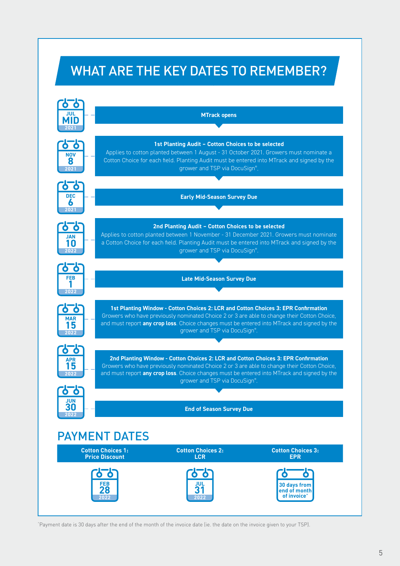# WHAT ARE THE KEY DATES TO REMEMBER?



^ Payment date is 30 days after the end of the month of the invoice date (ie. the date on the invoice given to your TSP).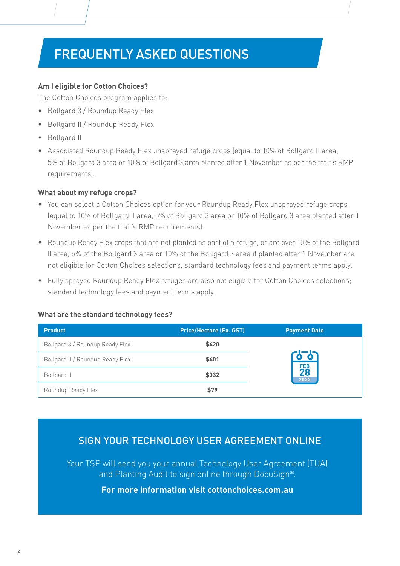# FREQUENTLY ASKED QUESTIONS

#### **Am I eligible for Cotton Choices?**

The Cotton Choices program applies to:

- **•** Bollgard 3 / Roundup Ready Flex
- **•** Bollgard II / Roundup Ready Flex
- **•** Bollgard II
- **•** Associated Roundup Ready Flex unsprayed refuge crops (equal to 10% of Bollgard II area, 5% of Bollgard 3 area or 10% of Bollgard 3 area planted after 1 November as per the trait's RMP requirements).

#### **What about my refuge crops?**

- **•** You can select a Cotton Choices option for your Roundup Ready Flex unsprayed refuge crops (equal to 10% of Bollgard II area, 5% of Bollgard 3 area or 10% of Bollgard 3 area planted after 1 November as per the trait's RMP requirements).
- **•** Roundup Ready Flex crops that are not planted as part of a refuge, or are over 10% of the Bollgard II area, 5% of the Bollgard 3 area or 10% of the Bollgard 3 area if planted after 1 November are not eligible for Cotton Choices selections; standard technology fees and payment terms apply.
- **•** Fully sprayed Roundup Ready Flex refuges are also not eligible for Cotton Choices selections; standard technology fees and payment terms apply.

#### **What are the standard technology fees?**

| <b>Product</b>                   | <b>Price/Hectare (Ex. GST)</b> | <b>Payment Date</b>                                   |
|----------------------------------|--------------------------------|-------------------------------------------------------|
| Bollgard 3 / Roundup Ready Flex  | \$420                          | $\overline{\mathbf{o}}$ o<br><b>FEB</b><br>28<br>2022 |
| Bollgard II / Roundup Ready Flex | \$401                          |                                                       |
| Bollgard II                      | \$332                          |                                                       |
| Roundup Ready Flex               | \$79                           |                                                       |

### SIGN YOUR TECHNOLOGY USER AGREEMENT ONLINE

Your TSP will send you your annual Technology User Agreement (TUA) and Planting Audit to sign online through DocuSign®.

#### **For more information visit cottonchoices.com.au**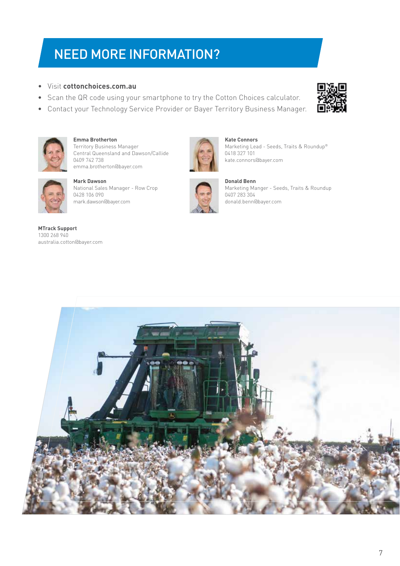## NEED MORE INFORMATION?

- **•** Visit **cottonchoices.com.au**
- **•** Scan the QR code using your smartphone to try the Cotton Choices calculator.
- **•** Contact your Technology Service Provider or Bayer Territory Business Manager.





**Emma Brotherton** Territory Business Manager Central Queensland and Dawson/Callide 0409 742 738 emma.brotherton@bayer.com



**Mark Dawson** National Sales Manager - Row Crop 0428 106 090 mark.dawson@bayer.com

**MTrack Support** 1300 268 940 australia.cotton@bayer.com



**Kate Connors** Marketing Lead - Seeds, Traits & Roundup® 0418 327 101 kate.connors@bayer.com



**Donald Benn** Marketing Manger - Seeds, Traits & Roundup 0407 283 304 donald.benn@bayer.com